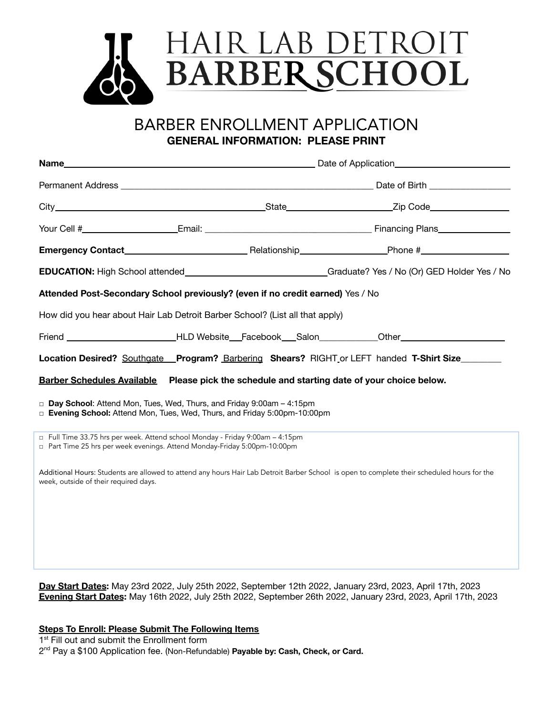

BARBER ENROLLMENT APPLICATION **GENERAL INFORMATION: PLEASE PRINT**

| Attended Post-Secondary School previously? (even if no credit earned) Yes / No                                                                             |  |  |  |  |
|------------------------------------------------------------------------------------------------------------------------------------------------------------|--|--|--|--|
| How did you hear about Hair Lab Detroit Barber School? (List all that apply)                                                                               |  |  |  |  |
| Friend ___________________________HLD Website__Facebook___Salon____________Other____________________                                                       |  |  |  |  |
| Location Desired? Southgate Program? Barbering Shears? RIGHT or LEFT handed T-Shirt Size                                                                   |  |  |  |  |
| Barber Schedules Available Please pick the schedule and starting date of your choice below.                                                                |  |  |  |  |
| Day School: Attend Mon, Tues, Wed, Thurs, and Friday 9:00am - 4:15pm<br>□ Evening School: Attend Mon, Tues, Wed, Thurs, and Friday 5:00pm-10:00pm          |  |  |  |  |
| □ Full Time 33.75 hrs per week. Attend school Monday - Friday 9:00am - 4:15pm<br>□ Part Time 25 hrs per week evenings. Attend Monday-Friday 5:00pm-10:00pm |  |  |  |  |

Additional Hours: Students are allowed to attend any hours Hair Lab Detroit Barber School is open to complete their scheduled hours for the week, outside of their required days.

**Day Start Dates:** May 23rd 2022, July 25th 2022, September 12th 2022, January 23rd, 2023, April 17th, 2023 **Evening Start Dates:** May 16th 2022, July 25th 2022, September 26th 2022, January 23rd, 2023, April 17th, 2023

## **Steps To Enroll: Please Submit The Following Items**

1<sup>st</sup> Fill out and submit the Enrollment form

2 nd Pay a \$100 Application fee. (Non-Refundable) **Payable by: Cash, Check, or Card.**